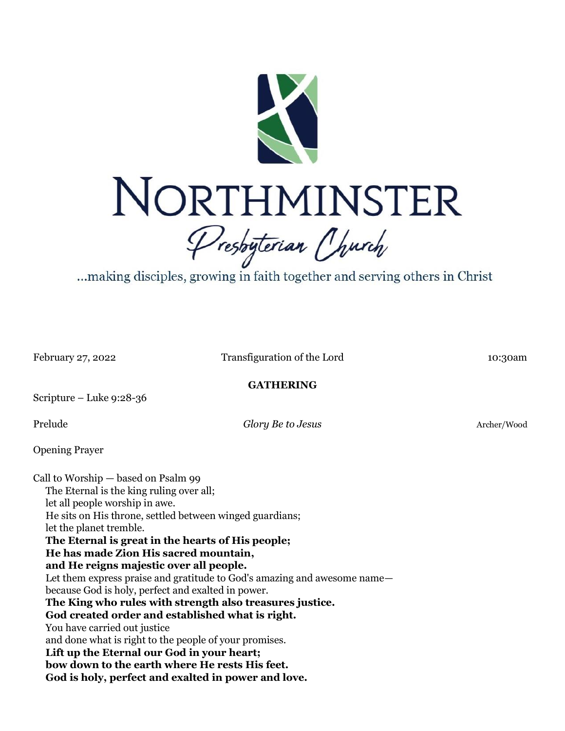

...making disciples, growing in faith together and serving others in Christ

February 27, 2022 Transfiguration of the Lord 10:30am

### **GATHERING**

Scripture – Luke 9:28-36

Opening Prayer

Prelude *Glory Be to Jesus* Archer/Wood

Call to Worship — based on Psalm 99 The Eternal is the king ruling over all; let all people worship in awe. He sits on His throne, settled between winged guardians; let the planet tremble. **The Eternal is great in the hearts of His people; He has made Zion His sacred mountain, and He reigns majestic over all people.** Let them express praise and gratitude to God's amazing and awesome name because God is holy, perfect and exalted in power. **The King who rules with strength also treasures justice. God created order and established what is right.** You have carried out justice and done what is right to the people of your promises. **Lift up the Eternal our God in your heart; bow down to the earth where He rests His feet. God is holy, perfect and exalted in power and love.**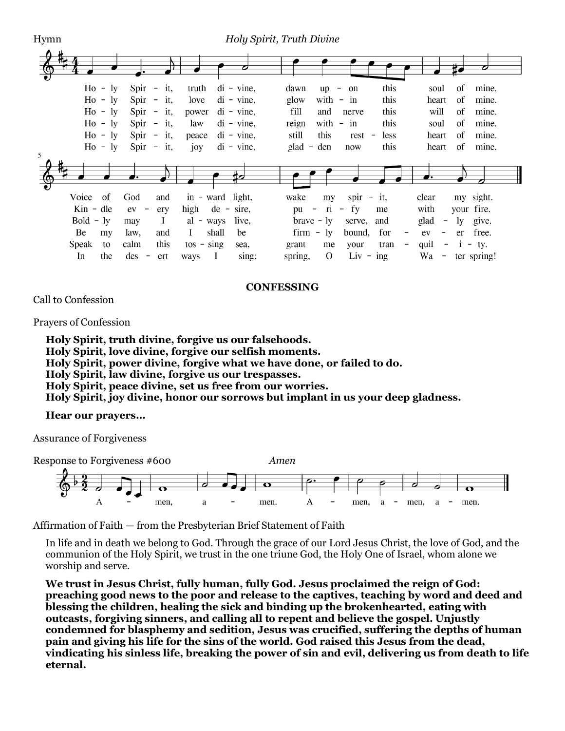

#### **CONFESSING**

Call to Confession

Prayers of Confession

**Holy Spirit, truth divine, forgive us our falsehoods. Holy Spirit, love divine, forgive our selfish moments. Holy Spirit, power divine, forgive what we have done, or failed to do. Holy Spirit, law divine, forgive us our trespasses. Holy Spirit, peace divine, set us free from our worries. Holy Spirit, joy divine, honor our sorrows but implant in us your deep gladness.**

**Hear our prayers…**

Assurance of Forgiveness



Affirmation of Faith — from the Presbyterian Brief Statement of Faith

In life and in death we belong to God. Through the grace of our Lord Jesus Christ, the love of God, and the communion of the Holy Spirit, we trust in the one triune God, the Holy One of Israel, whom alone we worship and serve.

**We trust in Jesus Christ, fully human, fully God. Jesus proclaimed the reign of God: preaching good news to the poor and release to the captives, teaching by word and deed and blessing the children, healing the sick and binding up the brokenhearted, eating with outcasts, forgiving sinners, and calling all to repent and believe the gospel. Unjustly condemned for blasphemy and sedition, Jesus was crucified, suffering the depths of human pain and giving his life for the sins of the world. God raised this Jesus from the dead, vindicating his sinless life, breaking the power of sin and evil, delivering us from death to life eternal.**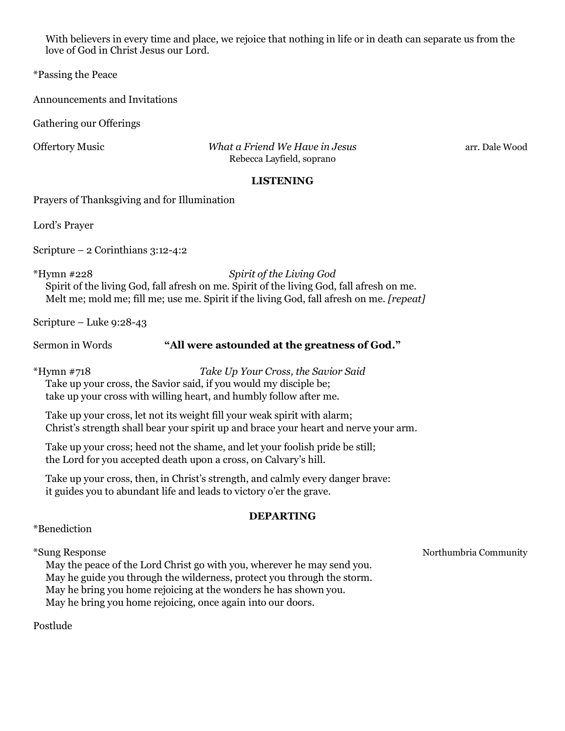With believers in every time and place, we rejoice that nothing in life or in death can separate us from the love of God in Christ Jesus our Lord.

\*Passing the Peace

Announcements and Invitations

Gathering our Offerings

Offertory Music *What a Friend We Have in Jesus* arr. Dale Wood Rebecca Layfield, soprano

# **LISTENING**

Prayers of Thanksgiving and for Illumination

Lord's Prayer

Scripture – 2 Corinthians 3:12-4:2

\*Hymn #228 *Spirit of the Living God* Spirit of the living God, fall afresh on me. Spirit of the living God, fall afresh on me. Melt me; mold me; fill me; use me. Spirit if the living God, fall afresh on me. *[repeat]*

Scripture – Luke 9:28-43

Sermon in Words **"All were astounded at the greatness of God."**

\*Hymn #718 *Take Up Your Cross, the Savior Said* Take up your cross, the Savior said, if you would my disciple be; take up your cross with willing heart, and humbly follow after me.

Take up your cross, let not its weight fill your weak spirit with alarm; Christ's strength shall bear your spirit up and brace your heart and nerve your arm.

Take up your cross; heed not the shame, and let your foolish pride be still; the Lord for you accepted death upon a cross, on Calvary's hill.

Take up your cross, then, in Christ's strength, and calmly every danger brave: it guides you to abundant life and leads to victory o'er the grave.

# **DEPARTING**

\*Benediction

May the peace of the Lord Christ go with you, wherever he may send you. May he guide you through the wilderness, protect you through the storm. May he bring you home rejoicing at the wonders he has shown you.

May he bring you home rejoicing, once again into our doors.

Postlude

\*Sung Response Northumbria Community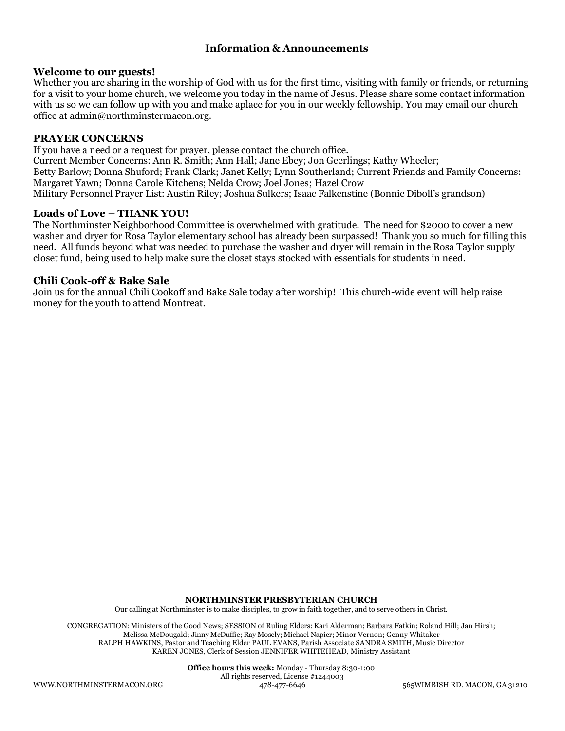## **Information & Announcements**

#### **Welcome to our guests!**

Whether you are sharing in the worship of God with us for the first time, visiting with family or friends, or returning for a visit to your home church, we welcome you today in the name of Jesus. Please share some contact information with us so we can follow up with you and make aplace for you in our weekly fellowship. You may email our church office at admin@northminstermacon.org.

### **PRAYER CONCERNS**

If you have a need or a request for prayer, please contact the church office. Current Member Concerns: Ann R. Smith; Ann Hall; Jane Ebey; Jon Geerlings; Kathy Wheeler; Betty Barlow; Donna Shuford; Frank Clark; Janet Kelly; Lynn Southerland; Current Friends and Family Concerns: Margaret Yawn; Donna Carole Kitchens; Nelda Crow; Joel Jones; Hazel Crow Military Personnel Prayer List: Austin Riley; Joshua Sulkers; Isaac Falkenstine (Bonnie Diboll's grandson)

#### **Loads of Love – THANK YOU!**

The Northminster Neighborhood Committee is overwhelmed with gratitude. The need for \$2000 to cover a new washer and dryer for Rosa Taylor elementary school has already been surpassed! Thank you so much for filling this need. All funds beyond what was needed to purchase the washer and dryer will remain in the Rosa Taylor supply closet fund, being used to help make sure the closet stays stocked with essentials for students in need.

#### **Chili Cook-off & Bake Sale**

Join us for the annual Chili Cookoff and Bake Sale today after worship! This church-wide event will help raise money for the youth to attend Montreat.

#### **NORTHMINSTER PRESBYTERIAN CHURCH**

Our calling at Northminster is to make disciples, to grow in faith together, and to serve others in Christ.

CONGREGATION: Ministers of the Good News; SESSION of Ruling Elders: Kari Alderman; Barbara Fatkin; Roland Hill; Jan Hirsh; Melissa McDougald; Jinny McDuffie; Ray Mosely; Michael Napier; Minor Vernon; Genny Whitaker RALPH HAWKINS, Pastor and Teaching Elder PAUL EVANS, Parish Associate SANDRA SMITH, Music Director KAREN JONES, Clerk of Session JENNIFER WHITEHEAD, Ministry Assistant

**Office hours this week:** Monday - Thursday 8:30-1:00 All rights reserved, License #1244003 [WWW.NORTHMINSTERMACON.ORG](http://www.northminstermacon.org/) 478-477-6646 565WIMBISH RD. MACON, GA 31210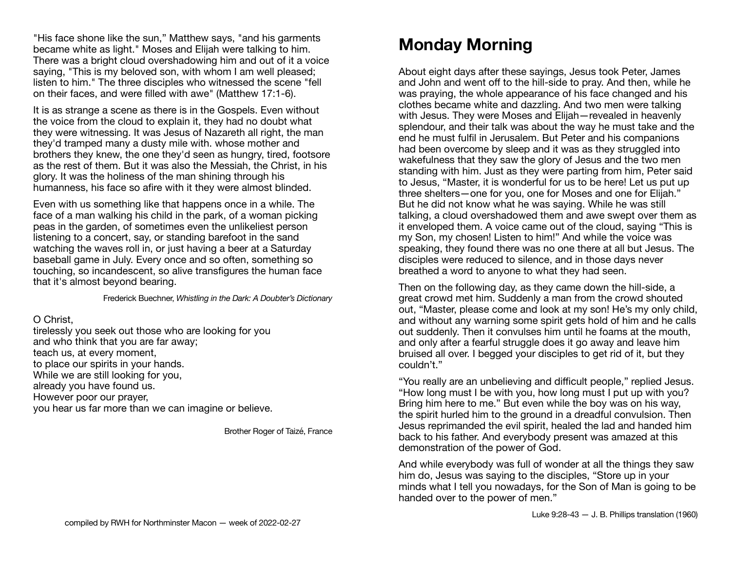"His face shone like the sun," Matthew says, "and his garments became white as light." Moses and Elijah were talking to him. There was a bright cloud overshadowing him and out of it a voice saying, "This is my beloved son, with whom I am well pleased; listen to him." The three disciples who witnessed the scene "fell on their faces, and were filled with awe" (Matthew 17:1-6).

It is as strange a scene as there is in the Gospels. Even without the voice from the cloud to explain it, they had no doubt what they were witnessing. It was Jesus of Nazareth all right, the man they'd tramped many a dusty mile with. whose mother and brothers they knew, the one they'd seen as hungry, tired, footsore as the rest of them. But it was also the Messiah, the Christ, in his glory. It was the holiness of the man shining through his humanness, his face so afire with it they were almost blinded.

Even with us something like that happens once in a while. The face of a man walking his child in the park, of a woman picking peas in the garden, of sometimes even the unlikeliest person listening to a concert, say, or standing barefoot in the sand watching the waves roll in, or just having a beer at a Saturday baseball game in July. Every once and so often, something so touching, so incandescent, so alive transfigures the human face that it's almost beyond bearing.

Frederick Buechner, *Whistling in the Dark: A Doubter's Dictionary* 

O Christ,

tirelessly you seek out those who are looking for you and who think that you are far away; teach us, at every moment, to place our spirits in your hands. While we are still looking for you, already you have found us. However poor our prayer, you hear us far more than we can imagine or believe.

Brother Roger of Taizé, France

# **Monday Morning**

About eight days after these sayings, Jesus took Peter, James and John and went off to the hill-side to pray. And then, while he was praying, the whole appearance of his face changed and his clothes became white and dazzling. And two men were talking with Jesus. They were Moses and Elijah–revealed in heavenly splendour, and their talk was about the way he must take and the end he must fulfil in Jerusalem. But Peter and his companions had been overcome by sleep and it was as they struggled into wakefulness that they saw the glory of Jesus and the two men standing with him. Just as they were parting from him, Peter said to Jesus, "Master, it is wonderful for us to be here! Let us put up three shelters—one for you, one for Moses and one for Elijah." But he did not know what he was saying. While he was still talking, a cloud overshadowed them and awe swept over them as it enveloped them. A voice came out of the cloud, saying "This is my Son, my chosen! Listen to him!" And while the voice was speaking, they found there was no one there at all but Jesus. The disciples were reduced to silence, and in those days never breathed a word to anyone to what they had seen.

Then on the following day, as they came down the hill-side, a great crowd met him. Suddenly a man from the crowd shouted out, "Master, please come and look at my son! He's my only child, and without any warning some spirit gets hold of him and he calls out suddenly. Then it convulses him until he foams at the mouth, and only after a fearful struggle does it go away and leave him bruised all over. I begged your disciples to get rid of it, but they couldn't."

"You really are an unbelieving and difficult people," replied Jesus. "How long must I be with you, how long must I put up with you? Bring him here to me." But even while the boy was on his way, the spirit hurled him to the ground in a dreadful convulsion. Then Jesus reprimanded the evil spirit, healed the lad and handed him back to his father. And everybody present was amazed at this demonstration of the power of God.

And while everybody was full of wonder at all the things they saw him do, Jesus was saying to the disciples, "Store up in your minds what I tell you nowadays, for the Son of Man is going to be handed over to the power of men."